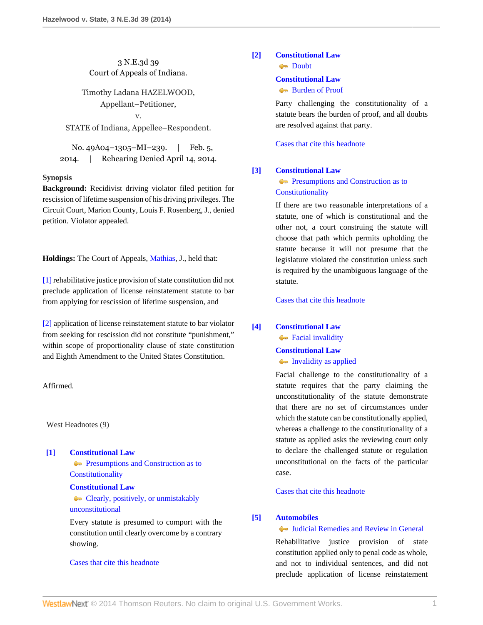# 3 N.E.3d 39 Court of Appeals of Indiana.

Timothy Ladana HAZELWOOD, Appellant–Petitioner, v.

STATE of Indiana, Appellee–Respondent.

No. 49A04–1305–MI–239. | Feb. 5, 2014. | Rehearing Denied April 14, 2014.

### **Synopsis**

**Background:** Recidivist driving violator filed petition for rescission of lifetime suspension of his driving privileges. The Circuit Court, Marion County, Louis F. Rosenberg, J., denied petition. Violator appealed.

**Holdings:** The Court of Appeals, [Mathias](http://www.westlaw.com/Link/Document/FullText?findType=h&pubNum=176284&cite=0171185001&originatingDoc=I4c2533618f3211e3a341ea44e5e1f25f&refType=RQ&originationContext=document&vr=3.0&rs=cblt1.0&transitionType=DocumentItem&contextData=(sc.Search)), J., held that:

[\[1\]](#page-0-0) rehabilitative justice provision of state constitution did not preclude application of license reinstatement statute to bar from applying for rescission of lifetime suspension, and

[\[2\]](#page-1-0) application of license reinstatement statute to bar violator from seeking for rescission did not constitute "punishment," within scope of proportionality clause of state constitution and Eighth Amendment to the United States Constitution.

Affirmed.

West Headnotes (9)

<span id="page-0-1"></span>**[\[1\]](#page-2-0) [Constitutional Law](http://www.westlaw.com/Browse/Home/KeyNumber/92/View.html?docGuid=I4c2533618f3211e3a341ea44e5e1f25f&originationContext=document&vr=3.0&rs=cblt1.0&transitionType=DocumentItem&contextData=(sc.Search))**

**[Presumptions and Construction as to](http://www.westlaw.com/Browse/Home/KeyNumber/92VI(C)3/View.html?docGuid=I4c2533618f3211e3a341ea44e5e1f25f&originationContext=document&vr=3.0&rs=cblt1.0&transitionType=DocumentItem&contextData=(sc.Search)) [Constitutionality](http://www.westlaw.com/Browse/Home/KeyNumber/92VI(C)3/View.html?docGuid=I4c2533618f3211e3a341ea44e5e1f25f&originationContext=document&vr=3.0&rs=cblt1.0&transitionType=DocumentItem&contextData=(sc.Search))** 

#### **[Constitutional Law](http://www.westlaw.com/Browse/Home/KeyNumber/92/View.html?docGuid=I4c2533618f3211e3a341ea44e5e1f25f&originationContext=document&vr=3.0&rs=cblt1.0&transitionType=DocumentItem&contextData=(sc.Search))**

[Clearly, positively, or unmistakably](http://www.westlaw.com/Browse/Home/KeyNumber/92k996/View.html?docGuid=I4c2533618f3211e3a341ea44e5e1f25f&originationContext=document&vr=3.0&rs=cblt1.0&transitionType=DocumentItem&contextData=(sc.Search)) [unconstitutional](http://www.westlaw.com/Browse/Home/KeyNumber/92k996/View.html?docGuid=I4c2533618f3211e3a341ea44e5e1f25f&originationContext=document&vr=3.0&rs=cblt1.0&transitionType=DocumentItem&contextData=(sc.Search))

Every statute is presumed to comport with the constitution until clearly overcome by a contrary showing.

[Cases that cite this headnote](http://www.westlaw.com/Link/RelatedInformation/DocHeadnoteLink?docGuid=I4c2533618f3211e3a341ea44e5e1f25f&headnoteId=203266995200120140703205150&originationContext=document&vr=3.0&rs=cblt1.0&transitionType=CitingReferences&contextData=(sc.Search))

# <span id="page-0-2"></span>**[\[2\]](#page-2-1) [Constitutional Law](http://www.westlaw.com/Browse/Home/KeyNumber/92/View.html?docGuid=I4c2533618f3211e3a341ea44e5e1f25f&originationContext=document&vr=3.0&rs=cblt1.0&transitionType=DocumentItem&contextData=(sc.Search))**

**[Doubt](http://www.westlaw.com/Browse/Home/KeyNumber/92k1001/View.html?docGuid=I4c2533618f3211e3a341ea44e5e1f25f&originationContext=document&vr=3.0&rs=cblt1.0&transitionType=DocumentItem&contextData=(sc.Search))** 

### **[Constitutional Law](http://www.westlaw.com/Browse/Home/KeyNumber/92/View.html?docGuid=I4c2533618f3211e3a341ea44e5e1f25f&originationContext=document&vr=3.0&rs=cblt1.0&transitionType=DocumentItem&contextData=(sc.Search))**

[Burden of Proof](http://www.westlaw.com/Browse/Home/KeyNumber/92VI(C)4/View.html?docGuid=I4c2533618f3211e3a341ea44e5e1f25f&originationContext=document&vr=3.0&rs=cblt1.0&transitionType=DocumentItem&contextData=(sc.Search))

Party challenging the constitutionality of a statute bears the burden of proof, and all doubts are resolved against that party.

[Cases that cite this headnote](http://www.westlaw.com/Link/RelatedInformation/DocHeadnoteLink?docGuid=I4c2533618f3211e3a341ea44e5e1f25f&headnoteId=203266995200220140703205150&originationContext=document&vr=3.0&rs=cblt1.0&transitionType=CitingReferences&contextData=(sc.Search))

## <span id="page-0-3"></span>**[\[3\]](#page-2-2) [Constitutional Law](http://www.westlaw.com/Browse/Home/KeyNumber/92/View.html?docGuid=I4c2533618f3211e3a341ea44e5e1f25f&originationContext=document&vr=3.0&rs=cblt1.0&transitionType=DocumentItem&contextData=(sc.Search))**

# **[Presumptions and Construction as to](http://www.westlaw.com/Browse/Home/KeyNumber/92VI(C)3/View.html?docGuid=I4c2533618f3211e3a341ea44e5e1f25f&originationContext=document&vr=3.0&rs=cblt1.0&transitionType=DocumentItem&contextData=(sc.Search)) [Constitutionality](http://www.westlaw.com/Browse/Home/KeyNumber/92VI(C)3/View.html?docGuid=I4c2533618f3211e3a341ea44e5e1f25f&originationContext=document&vr=3.0&rs=cblt1.0&transitionType=DocumentItem&contextData=(sc.Search))**

If there are two reasonable interpretations of a statute, one of which is constitutional and the other not, a court construing the statute will choose that path which permits upholding the statute because it will not presume that the legislature violated the constitution unless such is required by the unambiguous language of the statute.

[Cases that cite this headnote](http://www.westlaw.com/Link/RelatedInformation/DocHeadnoteLink?docGuid=I4c2533618f3211e3a341ea44e5e1f25f&headnoteId=203266995200320140703205150&originationContext=document&vr=3.0&rs=cblt1.0&transitionType=CitingReferences&contextData=(sc.Search))

<span id="page-0-4"></span>**[\[4\]](#page-2-3) [Constitutional Law](http://www.westlaw.com/Browse/Home/KeyNumber/92/View.html?docGuid=I4c2533618f3211e3a341ea44e5e1f25f&originationContext=document&vr=3.0&rs=cblt1.0&transitionType=DocumentItem&contextData=(sc.Search))**

**[Facial invalidity](http://www.westlaw.com/Browse/Home/KeyNumber/92k656/View.html?docGuid=I4c2533618f3211e3a341ea44e5e1f25f&originationContext=document&vr=3.0&rs=cblt1.0&transitionType=DocumentItem&contextData=(sc.Search))** 

**[Constitutional Law](http://www.westlaw.com/Browse/Home/KeyNumber/92/View.html?docGuid=I4c2533618f3211e3a341ea44e5e1f25f&originationContext=document&vr=3.0&rs=cblt1.0&transitionType=DocumentItem&contextData=(sc.Search))** [Invalidity as applied](http://www.westlaw.com/Browse/Home/KeyNumber/92k657/View.html?docGuid=I4c2533618f3211e3a341ea44e5e1f25f&originationContext=document&vr=3.0&rs=cblt1.0&transitionType=DocumentItem&contextData=(sc.Search))

Facial challenge to the constitutionality of a statute requires that the party claiming the unconstitutionality of the statute demonstrate that there are no set of circumstances under which the statute can be constitutionally applied, whereas a challenge to the constitutionality of a statute as applied asks the reviewing court only to declare the challenged statute or regulation unconstitutional on the facts of the particular case.

[Cases that cite this headnote](http://www.westlaw.com/Link/RelatedInformation/DocHeadnoteLink?docGuid=I4c2533618f3211e3a341ea44e5e1f25f&headnoteId=203266995200420140703205150&originationContext=document&vr=3.0&rs=cblt1.0&transitionType=CitingReferences&contextData=(sc.Search))

## <span id="page-0-0"></span>**[\[5\]](#page-2-4) [Automobiles](http://www.westlaw.com/Browse/Home/KeyNumber/48A/View.html?docGuid=I4c2533618f3211e3a341ea44e5e1f25f&originationContext=document&vr=3.0&rs=cblt1.0&transitionType=DocumentItem&contextData=(sc.Search))**

## [Judicial Remedies and Review in General](http://www.westlaw.com/Browse/Home/KeyNumber/48Ak144.2(2)/View.html?docGuid=I4c2533618f3211e3a341ea44e5e1f25f&originationContext=document&vr=3.0&rs=cblt1.0&transitionType=DocumentItem&contextData=(sc.Search))

Rehabilitative justice provision of state constitution applied only to penal code as whole, and not to individual sentences, and did not preclude application of license reinstatement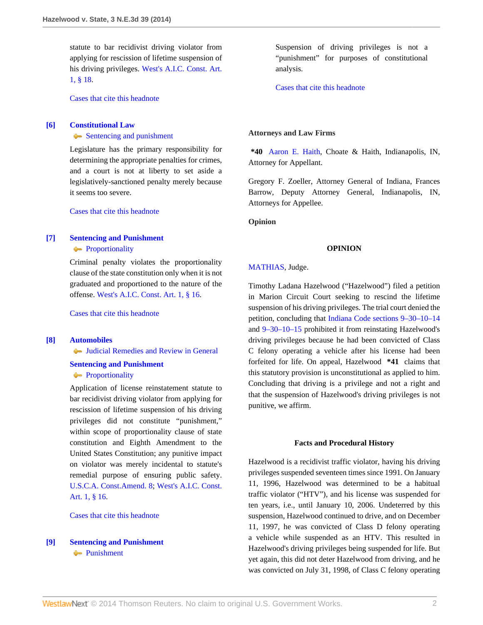statute to bar recidivist driving violator from applying for rescission of lifetime suspension of his driving privileges. [West's A.I.C. Const. Art.](http://www.westlaw.com/Link/Document/FullText?findType=L&pubNum=1000009&cite=INCNART1S18&originatingDoc=I4c2533618f3211e3a341ea44e5e1f25f&refType=LQ&originationContext=document&vr=3.0&rs=cblt1.0&transitionType=DocumentItem&contextData=(sc.Search)) [1, § 18](http://www.westlaw.com/Link/Document/FullText?findType=L&pubNum=1000009&cite=INCNART1S18&originatingDoc=I4c2533618f3211e3a341ea44e5e1f25f&refType=LQ&originationContext=document&vr=3.0&rs=cblt1.0&transitionType=DocumentItem&contextData=(sc.Search)).

[Cases that cite this headnote](http://www.westlaw.com/Link/RelatedInformation/DocHeadnoteLink?docGuid=I4c2533618f3211e3a341ea44e5e1f25f&headnoteId=203266995200520140703205150&originationContext=document&vr=3.0&rs=cblt1.0&transitionType=CitingReferences&contextData=(sc.Search))

## <span id="page-1-1"></span>**[\[6\]](#page-2-5) [Constitutional Law](http://www.westlaw.com/Browse/Home/KeyNumber/92/View.html?docGuid=I4c2533618f3211e3a341ea44e5e1f25f&originationContext=document&vr=3.0&rs=cblt1.0&transitionType=DocumentItem&contextData=(sc.Search))**

[Sentencing and punishment](http://www.westlaw.com/Browse/Home/KeyNumber/92k2507(3)/View.html?docGuid=I4c2533618f3211e3a341ea44e5e1f25f&originationContext=document&vr=3.0&rs=cblt1.0&transitionType=DocumentItem&contextData=(sc.Search))

Legislature has the primary responsibility for determining the appropriate penalties for crimes, and a court is not at liberty to set aside a legislatively-sanctioned penalty merely because it seems too severe.

[Cases that cite this headnote](http://www.westlaw.com/Link/RelatedInformation/DocHeadnoteLink?docGuid=I4c2533618f3211e3a341ea44e5e1f25f&headnoteId=203266995200620140703205150&originationContext=document&vr=3.0&rs=cblt1.0&transitionType=CitingReferences&contextData=(sc.Search))

## <span id="page-1-2"></span>**[\[7\]](#page-2-6) [Sentencing and Punishment](http://www.westlaw.com/Browse/Home/KeyNumber/350H/View.html?docGuid=I4c2533618f3211e3a341ea44e5e1f25f&originationContext=document&vr=3.0&rs=cblt1.0&transitionType=DocumentItem&contextData=(sc.Search)) [Proportionality](http://www.westlaw.com/Browse/Home/KeyNumber/350Hk1482/View.html?docGuid=I4c2533618f3211e3a341ea44e5e1f25f&originationContext=document&vr=3.0&rs=cblt1.0&transitionType=DocumentItem&contextData=(sc.Search))**

Criminal penalty violates the proportionality clause of the state constitution only when it is not graduated and proportioned to the nature of the offense. [West's A.I.C. Const. Art. 1, § 16](http://www.westlaw.com/Link/Document/FullText?findType=L&pubNum=1000009&cite=INCNART1S16&originatingDoc=I4c2533618f3211e3a341ea44e5e1f25f&refType=LQ&originationContext=document&vr=3.0&rs=cblt1.0&transitionType=DocumentItem&contextData=(sc.Search)).

[Cases that cite this headnote](http://www.westlaw.com/Link/RelatedInformation/DocHeadnoteLink?docGuid=I4c2533618f3211e3a341ea44e5e1f25f&headnoteId=203266995200720140703205150&originationContext=document&vr=3.0&rs=cblt1.0&transitionType=CitingReferences&contextData=(sc.Search))

### <span id="page-1-0"></span>**[\[8\]](#page-3-0) [Automobiles](http://www.westlaw.com/Browse/Home/KeyNumber/48A/View.html?docGuid=I4c2533618f3211e3a341ea44e5e1f25f&originationContext=document&vr=3.0&rs=cblt1.0&transitionType=DocumentItem&contextData=(sc.Search))**

[Judicial Remedies and Review in General](http://www.westlaw.com/Browse/Home/KeyNumber/48Ak144.2(2)/View.html?docGuid=I4c2533618f3211e3a341ea44e5e1f25f&originationContext=document&vr=3.0&rs=cblt1.0&transitionType=DocumentItem&contextData=(sc.Search))

# **[Sentencing and Punishment](http://www.westlaw.com/Browse/Home/KeyNumber/350H/View.html?docGuid=I4c2533618f3211e3a341ea44e5e1f25f&originationContext=document&vr=3.0&rs=cblt1.0&transitionType=DocumentItem&contextData=(sc.Search)) [Proportionality](http://www.westlaw.com/Browse/Home/KeyNumber/350Hk1482/View.html?docGuid=I4c2533618f3211e3a341ea44e5e1f25f&originationContext=document&vr=3.0&rs=cblt1.0&transitionType=DocumentItem&contextData=(sc.Search))**

Application of license reinstatement statute to bar recidivist driving violator from applying for rescission of lifetime suspension of his driving privileges did not constitute "punishment," within scope of proportionality clause of state constitution and Eighth Amendment to the United States Constitution; any punitive impact on violator was merely incidental to statute's remedial purpose of ensuring public safety. [U.S.C.A. Const.Amend. 8;](http://www.westlaw.com/Link/Document/FullText?findType=L&pubNum=1000546&cite=USCOAMENDVIII&originatingDoc=I4c2533618f3211e3a341ea44e5e1f25f&refType=LQ&originationContext=document&vr=3.0&rs=cblt1.0&transitionType=DocumentItem&contextData=(sc.Search)) [West's A.I.C. Const.](http://www.westlaw.com/Link/Document/FullText?findType=L&pubNum=1000009&cite=INCNART1S16&originatingDoc=I4c2533618f3211e3a341ea44e5e1f25f&refType=LQ&originationContext=document&vr=3.0&rs=cblt1.0&transitionType=DocumentItem&contextData=(sc.Search)) [Art. 1, § 16](http://www.westlaw.com/Link/Document/FullText?findType=L&pubNum=1000009&cite=INCNART1S16&originatingDoc=I4c2533618f3211e3a341ea44e5e1f25f&refType=LQ&originationContext=document&vr=3.0&rs=cblt1.0&transitionType=DocumentItem&contextData=(sc.Search)).

[Cases that cite this headnote](http://www.westlaw.com/Link/RelatedInformation/DocHeadnoteLink?docGuid=I4c2533618f3211e3a341ea44e5e1f25f&headnoteId=203266995200820140703205150&originationContext=document&vr=3.0&rs=cblt1.0&transitionType=CitingReferences&contextData=(sc.Search))

# <span id="page-1-3"></span>**[\[9\]](#page-3-1) [Sentencing and Punishment](http://www.westlaw.com/Browse/Home/KeyNumber/350H/View.html?docGuid=I4c2533618f3211e3a341ea44e5e1f25f&originationContext=document&vr=3.0&rs=cblt1.0&transitionType=DocumentItem&contextData=(sc.Search)) [Punishment](http://www.westlaw.com/Browse/Home/KeyNumber/350Hk1436/View.html?docGuid=I4c2533618f3211e3a341ea44e5e1f25f&originationContext=document&vr=3.0&rs=cblt1.0&transitionType=DocumentItem&contextData=(sc.Search))**

Suspension of driving privileges is not a "punishment" for purposes of constitutional analysis.

[Cases that cite this headnote](http://www.westlaw.com/Link/RelatedInformation/DocHeadnoteLink?docGuid=I4c2533618f3211e3a341ea44e5e1f25f&headnoteId=203266995200920140703205150&originationContext=document&vr=3.0&rs=cblt1.0&transitionType=CitingReferences&contextData=(sc.Search))

#### **Attorneys and Law Firms**

**\*40** [Aaron E. Haith](http://www.westlaw.com/Link/Document/FullText?findType=h&pubNum=176284&cite=0222635001&originatingDoc=I4c2533618f3211e3a341ea44e5e1f25f&refType=RQ&originationContext=document&vr=3.0&rs=cblt1.0&transitionType=DocumentItem&contextData=(sc.Search)), Choate & Haith, Indianapolis, IN, Attorney for Appellant.

Gregory F. Zoeller, Attorney General of Indiana, Frances Barrow, Deputy Attorney General, Indianapolis, IN, Attorneys for Appellee.

**Opinion**

### **OPINION**

### [MATHIAS,](http://www.westlaw.com/Link/Document/FullText?findType=h&pubNum=176284&cite=0171185001&originatingDoc=I4c2533618f3211e3a341ea44e5e1f25f&refType=RQ&originationContext=document&vr=3.0&rs=cblt1.0&transitionType=DocumentItem&contextData=(sc.Search)) Judge.

Timothy Ladana Hazelwood ("Hazelwood") filed a petition in Marion Circuit Court seeking to rescind the lifetime suspension of his driving privileges. The trial court denied the petition, concluding that [Indiana Code sections 9–30–10–14](http://www.westlaw.com/Link/Document/FullText?findType=L&pubNum=1000009&cite=INS9-30-10-14&originatingDoc=I4c2533618f3211e3a341ea44e5e1f25f&refType=LQ&originationContext=document&vr=3.0&rs=cblt1.0&transitionType=DocumentItem&contextData=(sc.Search)) and [9–30–10–15](http://www.westlaw.com/Link/Document/FullText?findType=L&pubNum=1000009&cite=INS9-30-10-15&originatingDoc=I4c2533618f3211e3a341ea44e5e1f25f&refType=LQ&originationContext=document&vr=3.0&rs=cblt1.0&transitionType=DocumentItem&contextData=(sc.Search)) prohibited it from reinstating Hazelwood's driving privileges because he had been convicted of Class C felony operating a vehicle after his license had been forfeited for life. On appeal, Hazelwood **\*41** claims that this statutory provision is unconstitutional as applied to him. Concluding that driving is a privilege and not a right and that the suspension of Hazelwood's driving privileges is not punitive, we affirm.

#### **Facts and Procedural History**

Hazelwood is a recidivist traffic violator, having his driving privileges suspended seventeen times since 1991. On January 11, 1996, Hazelwood was determined to be a habitual traffic violator ("HTV"), and his license was suspended for ten years, i.e., until January 10, 2006. Undeterred by this suspension, Hazelwood continued to drive, and on December 11, 1997, he was convicted of Class D felony operating a vehicle while suspended as an HTV. This resulted in Hazelwood's driving privileges being suspended for life. But yet again, this did not deter Hazelwood from driving, and he was convicted on July 31, 1998, of Class C felony operating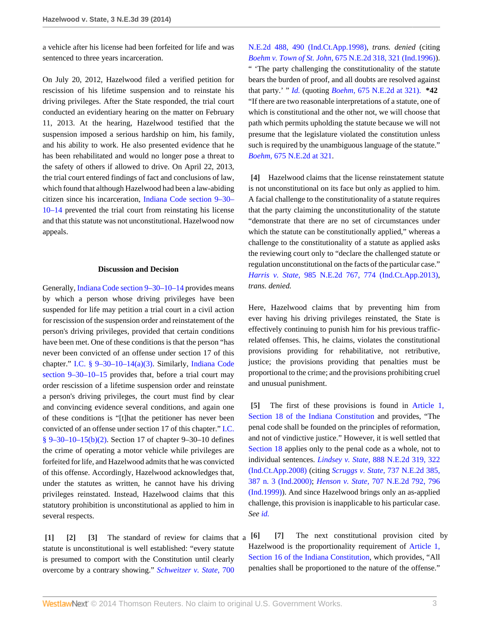a vehicle after his license had been forfeited for life and was sentenced to three years incarceration.

On July 20, 2012, Hazelwood filed a verified petition for rescission of his lifetime suspension and to reinstate his driving privileges. After the State responded, the trial court conducted an evidentiary hearing on the matter on February 11, 2013. At the hearing, Hazelwood testified that the suspension imposed a serious hardship on him, his family, and his ability to work. He also presented evidence that he has been rehabilitated and would no longer pose a threat to the safety of others if allowed to drive. On April 22, 2013, the trial court entered findings of fact and conclusions of law, which found that although Hazelwood had been a law-abiding citizen since his incarceration, [Indiana Code section 9–30–](http://www.westlaw.com/Link/Document/FullText?findType=L&pubNum=1000009&cite=INS9-30-10-14&originatingDoc=I4c2533618f3211e3a341ea44e5e1f25f&refType=LQ&originationContext=document&vr=3.0&rs=cblt1.0&transitionType=DocumentItem&contextData=(sc.Search)) [10–14](http://www.westlaw.com/Link/Document/FullText?findType=L&pubNum=1000009&cite=INS9-30-10-14&originatingDoc=I4c2533618f3211e3a341ea44e5e1f25f&refType=LQ&originationContext=document&vr=3.0&rs=cblt1.0&transitionType=DocumentItem&contextData=(sc.Search)) prevented the trial court from reinstating his license and that this statute was not unconstitutional. Hazelwood now appeals.

### **Discussion and Decision**

Generally, [Indiana Code section 9–30–10–14](http://www.westlaw.com/Link/Document/FullText?findType=L&pubNum=1000009&cite=INS9-30-10-14&originatingDoc=I4c2533618f3211e3a341ea44e5e1f25f&refType=LQ&originationContext=document&vr=3.0&rs=cblt1.0&transitionType=DocumentItem&contextData=(sc.Search)) provides means by which a person whose driving privileges have been suspended for life may petition a trial court in a civil action for rescission of the suspension order and reinstatement of the person's driving privileges, provided that certain conditions have been met. One of these conditions is that the person "has never been convicted of an offense under section 17 of this chapter." [I.C. § 9–30–10–14\(a\)\(3\)](http://www.westlaw.com/Link/Document/FullText?findType=L&pubNum=1000009&cite=INS9-30-10-14&originatingDoc=I4c2533618f3211e3a341ea44e5e1f25f&refType=SP&originationContext=document&vr=3.0&rs=cblt1.0&transitionType=DocumentItem&contextData=(sc.Search)#co_pp_28cc0000ccca6). Similarly, [Indiana Code](http://www.westlaw.com/Link/Document/FullText?findType=L&pubNum=1000009&cite=INS9-30-10-15&originatingDoc=I4c2533618f3211e3a341ea44e5e1f25f&refType=LQ&originationContext=document&vr=3.0&rs=cblt1.0&transitionType=DocumentItem&contextData=(sc.Search)) [section 9–30–10–15](http://www.westlaw.com/Link/Document/FullText?findType=L&pubNum=1000009&cite=INS9-30-10-15&originatingDoc=I4c2533618f3211e3a341ea44e5e1f25f&refType=LQ&originationContext=document&vr=3.0&rs=cblt1.0&transitionType=DocumentItem&contextData=(sc.Search)) provides that, before a trial court may order rescission of a lifetime suspension order and reinstate a person's driving privileges, the court must find by clear and convincing evidence several conditions, and again one of these conditions is "[t]hat the petitioner has never been convicted of an offense under section 17 of this chapter." [I.C.](http://www.westlaw.com/Link/Document/FullText?findType=L&pubNum=1000009&cite=INS9-30-10-15&originatingDoc=I4c2533618f3211e3a341ea44e5e1f25f&refType=SP&originationContext=document&vr=3.0&rs=cblt1.0&transitionType=DocumentItem&contextData=(sc.Search)#co_pp_c0ae00006c482)  $§ 9-30-10-15(b)(2)$ . Section 17 of chapter 9-30-10 defines the crime of operating a motor vehicle while privileges are forfeited for life, and Hazelwood admits that he was convicted of this offense. Accordingly, Hazelwood acknowledges that, under the statutes as written, he cannot have his driving privileges reinstated. Instead, Hazelwood claims that this statutory prohibition is unconstitutional as applied to him in several respects.

<span id="page-2-2"></span><span id="page-2-1"></span><span id="page-2-0"></span>**[\[1\]](#page-0-1) [\[2\]](#page-0-2) [\[3\]](#page-0-3)** The standard of review for claims that a statute is unconstitutional is well established: "every statute is presumed to comport with the Constitution until clearly overcome by a contrary showing." *[Schweitzer v. State,](http://www.westlaw.com/Link/Document/FullText?findType=Y&serNum=1998211450&pubNum=578&fi=co_pp_sp_578_490&originationContext=document&vr=3.0&rs=cblt1.0&transitionType=DocumentItem&contextData=(sc.Search)#co_pp_sp_578_490)* 700

[N.E.2d 488, 490 \(Ind.Ct.App.1998\),](http://www.westlaw.com/Link/Document/FullText?findType=Y&serNum=1998211450&pubNum=578&fi=co_pp_sp_578_490&originationContext=document&vr=3.0&rs=cblt1.0&transitionType=DocumentItem&contextData=(sc.Search)#co_pp_sp_578_490) *trans. denied* (citing *Boehm v. Town of St. John,* [675 N.E.2d 318, 321 \(Ind.1996\)](http://www.westlaw.com/Link/Document/FullText?findType=Y&serNum=1996279751&pubNum=578&fi=co_pp_sp_578_321&originationContext=document&vr=3.0&rs=cblt1.0&transitionType=DocumentItem&contextData=(sc.Search)#co_pp_sp_578_321)). " 'The party challenging the constitutionality of the statute bears the burden of proof, and all doubts are resolved against that party.' " *[Id.](http://www.westlaw.com/Link/Document/FullText?findType=Y&serNum=1998211450&originationContext=document&vr=3.0&rs=cblt1.0&transitionType=DocumentItem&contextData=(sc.Search))* (quoting *Boehm,* [675 N.E.2d at 321\).](http://www.westlaw.com/Link/Document/FullText?findType=Y&serNum=1996279751&pubNum=578&fi=co_pp_sp_578_321&originationContext=document&vr=3.0&rs=cblt1.0&transitionType=DocumentItem&contextData=(sc.Search)#co_pp_sp_578_321) **\*42** "If there are two reasonable interpretations of a statute, one of which is constitutional and the other not, we will choose that path which permits upholding the statute because we will not presume that the legislature violated the constitution unless such is required by the unambiguous language of the statute." *Boehm,* [675 N.E.2d at 321.](http://www.westlaw.com/Link/Document/FullText?findType=Y&serNum=1996279751&pubNum=578&fi=co_pp_sp_578_321&originationContext=document&vr=3.0&rs=cblt1.0&transitionType=DocumentItem&contextData=(sc.Search)#co_pp_sp_578_321)

<span id="page-2-3"></span>**[\[4\]](#page-0-4)** Hazelwood claims that the license reinstatement statute is not unconstitutional on its face but only as applied to him. A facial challenge to the constitutionality of a statute requires that the party claiming the unconstitutionality of the statute "demonstrate that there are no set of circumstances under which the statute can be constitutionally applied," whereas a challenge to the constitutionality of a statute as applied asks the reviewing court only to "declare the challenged statute or regulation unconstitutional on the facts of the particular case." *Harris v. State,* [985 N.E.2d 767, 774 \(Ind.Ct.App.2013\)](http://www.westlaw.com/Link/Document/FullText?findType=Y&serNum=2030225939&pubNum=578&fi=co_pp_sp_578_774&originationContext=document&vr=3.0&rs=cblt1.0&transitionType=DocumentItem&contextData=(sc.Search)#co_pp_sp_578_774), *trans. denied.*

Here, Hazelwood claims that by preventing him from ever having his driving privileges reinstated, the State is effectively continuing to punish him for his previous trafficrelated offenses. This, he claims, violates the constitutional provisions providing for rehabilitative, not retributive, justice; the provisions providing that penalties must be proportional to the crime; and the provisions prohibiting cruel and unusual punishment.

<span id="page-2-4"></span>**[\[5\]](#page-0-0)** The first of these provisions is found in [Article 1,](http://www.westlaw.com/Link/Document/FullText?findType=L&pubNum=1000009&cite=INCNART1S18&originatingDoc=I4c2533618f3211e3a341ea44e5e1f25f&refType=LQ&originationContext=document&vr=3.0&rs=cblt1.0&transitionType=DocumentItem&contextData=(sc.Search)) [Section 18 of the Indiana Constitution](http://www.westlaw.com/Link/Document/FullText?findType=L&pubNum=1000009&cite=INCNART1S18&originatingDoc=I4c2533618f3211e3a341ea44e5e1f25f&refType=LQ&originationContext=document&vr=3.0&rs=cblt1.0&transitionType=DocumentItem&contextData=(sc.Search)) and provides, "The penal code shall be founded on the principles of reformation, and not of vindictive justice." However, it is well settled that [Section 18](http://www.westlaw.com/Link/Document/FullText?findType=L&pubNum=1000009&cite=INCNART1S18&originatingDoc=I4c2533618f3211e3a341ea44e5e1f25f&refType=LQ&originationContext=document&vr=3.0&rs=cblt1.0&transitionType=DocumentItem&contextData=(sc.Search)) applies only to the penal code as a whole, not to individual sentences. *Lindsey v. State,* [888 N.E.2d 319, 322](http://www.westlaw.com/Link/Document/FullText?findType=Y&serNum=2016310111&pubNum=578&fi=co_pp_sp_578_322&originationContext=document&vr=3.0&rs=cblt1.0&transitionType=DocumentItem&contextData=(sc.Search)#co_pp_sp_578_322) [\(Ind.Ct.App.2008\)](http://www.westlaw.com/Link/Document/FullText?findType=Y&serNum=2016310111&pubNum=578&fi=co_pp_sp_578_322&originationContext=document&vr=3.0&rs=cblt1.0&transitionType=DocumentItem&contextData=(sc.Search)#co_pp_sp_578_322) (citing *Scruggs v. State,* [737 N.E.2d 385,](http://www.westlaw.com/Link/Document/FullText?findType=Y&serNum=2000593661&pubNum=578&fi=co_pp_sp_578_387&originationContext=document&vr=3.0&rs=cblt1.0&transitionType=DocumentItem&contextData=(sc.Search)#co_pp_sp_578_387) [387 n. 3 \(Ind.2000\)](http://www.westlaw.com/Link/Document/FullText?findType=Y&serNum=2000593661&pubNum=578&fi=co_pp_sp_578_387&originationContext=document&vr=3.0&rs=cblt1.0&transitionType=DocumentItem&contextData=(sc.Search)#co_pp_sp_578_387); *Henson v. State,* [707 N.E.2d 792, 796](http://www.westlaw.com/Link/Document/FullText?findType=Y&serNum=1999081074&pubNum=578&fi=co_pp_sp_578_796&originationContext=document&vr=3.0&rs=cblt1.0&transitionType=DocumentItem&contextData=(sc.Search)#co_pp_sp_578_796) [\(Ind.1999\)](http://www.westlaw.com/Link/Document/FullText?findType=Y&serNum=1999081074&pubNum=578&fi=co_pp_sp_578_796&originationContext=document&vr=3.0&rs=cblt1.0&transitionType=DocumentItem&contextData=(sc.Search)#co_pp_sp_578_796)). And since Hazelwood brings only an as-applied challenge, this provision is inapplicable to his particular case. *See [id.](http://www.westlaw.com/Link/Document/FullText?findType=Y&serNum=2016310111&originationContext=document&vr=3.0&rs=cblt1.0&transitionType=DocumentItem&contextData=(sc.Search))*

<span id="page-2-6"></span><span id="page-2-5"></span>**[\[6\]](#page-1-1) [\[7\]](#page-1-2)** The next constitutional provision cited by Hazelwood is the proportionality requirement of [Article 1,](http://www.westlaw.com/Link/Document/FullText?findType=L&pubNum=1000009&cite=INCNART1S16&originatingDoc=I4c2533618f3211e3a341ea44e5e1f25f&refType=LQ&originationContext=document&vr=3.0&rs=cblt1.0&transitionType=DocumentItem&contextData=(sc.Search)) [Section 16 of the Indiana Constitution,](http://www.westlaw.com/Link/Document/FullText?findType=L&pubNum=1000009&cite=INCNART1S16&originatingDoc=I4c2533618f3211e3a341ea44e5e1f25f&refType=LQ&originationContext=document&vr=3.0&rs=cblt1.0&transitionType=DocumentItem&contextData=(sc.Search)) which provides, "All penalties shall be proportioned to the nature of the offense."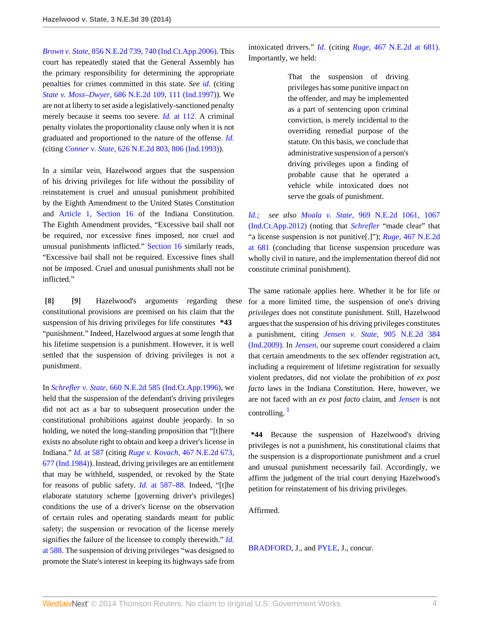*Brown v. State,* [856 N.E.2d 739, 740 \(Ind.Ct.App.2006\).](http://www.westlaw.com/Link/Document/FullText?findType=Y&serNum=2010648752&pubNum=578&fi=co_pp_sp_578_740&originationContext=document&vr=3.0&rs=cblt1.0&transitionType=DocumentItem&contextData=(sc.Search)#co_pp_sp_578_740) This court has repeatedly stated that the General Assembly has the primary responsibility for determining the appropriate penalties for crimes committed in this state. *See [id.](http://www.westlaw.com/Link/Document/FullText?findType=Y&serNum=2010648752&originationContext=document&vr=3.0&rs=cblt1.0&transitionType=DocumentItem&contextData=(sc.Search))* (citing *State v. Moss–Dwyer,* [686 N.E.2d 109, 111 \(Ind.1997\)](http://www.westlaw.com/Link/Document/FullText?findType=Y&serNum=1997214701&pubNum=578&fi=co_pp_sp_578_111&originationContext=document&vr=3.0&rs=cblt1.0&transitionType=DocumentItem&contextData=(sc.Search)#co_pp_sp_578_111)). We are not at liberty to set aside a legislatively-sanctioned penalty merely because it seems too severe. *Id.* [at 112.](http://www.westlaw.com/Link/Document/FullText?findType=Y&serNum=1997214701&originationContext=document&vr=3.0&rs=cblt1.0&transitionType=DocumentItem&contextData=(sc.Search)) A criminal penalty violates the proportionality clause only when it is not graduated and proportioned to the nature of the offense. *[Id.](http://www.westlaw.com/Link/Document/FullText?findType=Y&serNum=1997214701&originationContext=document&vr=3.0&rs=cblt1.0&transitionType=DocumentItem&contextData=(sc.Search))* (citing *Conner v. State,* [626 N.E.2d 803, 806 \(Ind.1993\)\)](http://www.westlaw.com/Link/Document/FullText?findType=Y&serNum=1994020232&pubNum=578&fi=co_pp_sp_578_806&originationContext=document&vr=3.0&rs=cblt1.0&transitionType=DocumentItem&contextData=(sc.Search)#co_pp_sp_578_806).

In a similar vein, Hazelwood argues that the suspension of his driving privileges for life without the possibility of reinstatement is cruel and unusual punishment prohibited by the Eighth Amendment to the United States Constitution and [Article 1, Section 16](http://www.westlaw.com/Link/Document/FullText?findType=L&pubNum=1000009&cite=INCNART1S16&originatingDoc=I4c2533618f3211e3a341ea44e5e1f25f&refType=LQ&originationContext=document&vr=3.0&rs=cblt1.0&transitionType=DocumentItem&contextData=(sc.Search)) of the Indiana Constitution. The Eighth Amendment provides, "Excessive bail shall not be required, nor excessive fines imposed, nor cruel and unusual punishments inflicted." [Section 16](http://www.westlaw.com/Link/Document/FullText?findType=L&pubNum=1000009&cite=INCNART1S16&originatingDoc=I4c2533618f3211e3a341ea44e5e1f25f&refType=LQ&originationContext=document&vr=3.0&rs=cblt1.0&transitionType=DocumentItem&contextData=(sc.Search)) similarly reads, "Excessive bail shall not be required. Excessive fines shall not be imposed. Cruel and unusual punishments shall not be inflicted."

<span id="page-3-1"></span><span id="page-3-0"></span>**[\[8\]](#page-1-0) [\[9\]](#page-1-3)** Hazelwood's arguments regarding these constitutional provisions are premised on his claim that the suspension of his driving privileges for life constitutes **\*43** "punishment." Indeed, Hazelwood argues at some length that his lifetime suspension is a punishment. However, it is well settled that the suspension of driving privileges is not a punishment.

In *Schrefler v. State,* [660 N.E.2d 585 \(Ind.Ct.App.1996\)](http://www.westlaw.com/Link/Document/FullText?findType=Y&serNum=1996032182&pubNum=578&originationContext=document&vr=3.0&rs=cblt1.0&transitionType=DocumentItem&contextData=(sc.Search)), we held that the suspension of the defendant's driving privileges did not act as a bar to subsequent prosecution under the constitutional prohibitions against double jeopardy. In so holding, we noted the long-standing proposition that "[t]here exists no absolute right to obtain and keep a driver's license in Indiana." *Id.* [at 587](http://www.westlaw.com/Link/Document/FullText?findType=Y&serNum=1996032182&originationContext=document&vr=3.0&rs=cblt1.0&transitionType=DocumentItem&contextData=(sc.Search)) (citing *Ruge v. Kovach,* [467 N.E.2d 673,](http://www.westlaw.com/Link/Document/FullText?findType=Y&serNum=1984141610&pubNum=578&fi=co_pp_sp_578_677&originationContext=document&vr=3.0&rs=cblt1.0&transitionType=DocumentItem&contextData=(sc.Search)#co_pp_sp_578_677) [677 \(Ind.1984\)](http://www.westlaw.com/Link/Document/FullText?findType=Y&serNum=1984141610&pubNum=578&fi=co_pp_sp_578_677&originationContext=document&vr=3.0&rs=cblt1.0&transitionType=DocumentItem&contextData=(sc.Search)#co_pp_sp_578_677)). Instead, driving privileges are an entitlement that may be withheld, suspended, or revoked by the State for reasons of public safety. *Id.* [at 587–88.](http://www.westlaw.com/Link/Document/FullText?findType=Y&serNum=1996032182&originationContext=document&vr=3.0&rs=cblt1.0&transitionType=DocumentItem&contextData=(sc.Search)) Indeed, "[t]he elaborate statutory scheme [governing driver's privileges] conditions the use of a driver's license on the observation of certain rules and operating standards meant for public safety; the suspension or revocation of the license merely signifies the failure of the licensee to comply therewith." *[Id.](http://www.westlaw.com/Link/Document/FullText?findType=Y&serNum=1996032182&originationContext=document&vr=3.0&rs=cblt1.0&transitionType=DocumentItem&contextData=(sc.Search))* [at 588.](http://www.westlaw.com/Link/Document/FullText?findType=Y&serNum=1996032182&originationContext=document&vr=3.0&rs=cblt1.0&transitionType=DocumentItem&contextData=(sc.Search)) The suspension of driving privileges "was designed to promote the State's interest in keeping its highways safe from

intoxicated drivers." *[Id.](http://www.westlaw.com/Link/Document/FullText?findType=Y&serNum=1996032182&originationContext=document&vr=3.0&rs=cblt1.0&transitionType=DocumentItem&contextData=(sc.Search))* (citing *Ruge*[, 467 N.E.2d at 681\).](http://www.westlaw.com/Link/Document/FullText?findType=Y&serNum=1984141610&pubNum=578&fi=co_pp_sp_578_681&originationContext=document&vr=3.0&rs=cblt1.0&transitionType=DocumentItem&contextData=(sc.Search)#co_pp_sp_578_681) Importantly, we held:

> That the suspension of driving privileges has some punitive impact on the offender, and may be implemented as a part of sentencing upon criminal conviction, is merely incidental to the overriding remedial purpose of the statute. On this basis, we conclude that administrative suspension of a person's driving privileges upon a finding of probable cause that he operated a vehicle while intoxicated does not serve the goals of punishment.

*[Id.;](http://www.westlaw.com/Link/Document/FullText?findType=Y&serNum=1996032182&originationContext=document&vr=3.0&rs=cblt1.0&transitionType=DocumentItem&contextData=(sc.Search)) see also Moala v. State,* [969 N.E.2d 1061, 1067](http://www.westlaw.com/Link/Document/FullText?findType=Y&serNum=2027986203&pubNum=578&fi=co_pp_sp_578_1067&originationContext=document&vr=3.0&rs=cblt1.0&transitionType=DocumentItem&contextData=(sc.Search)#co_pp_sp_578_1067) [\(Ind.Ct.App.2012\)](http://www.westlaw.com/Link/Document/FullText?findType=Y&serNum=2027986203&pubNum=578&fi=co_pp_sp_578_1067&originationContext=document&vr=3.0&rs=cblt1.0&transitionType=DocumentItem&contextData=(sc.Search)#co_pp_sp_578_1067) (noting that *[Schrefler](http://www.westlaw.com/Link/Document/FullText?findType=Y&serNum=1996032182&originationContext=document&vr=3.0&rs=cblt1.0&transitionType=DocumentItem&contextData=(sc.Search))* "made clear" that "a license suspension is not punitive[.]"); *Ruge,* [467 N.E.2d](http://www.westlaw.com/Link/Document/FullText?findType=Y&serNum=1984141610&pubNum=578&fi=co_pp_sp_578_681&originationContext=document&vr=3.0&rs=cblt1.0&transitionType=DocumentItem&contextData=(sc.Search)#co_pp_sp_578_681) [at 681](http://www.westlaw.com/Link/Document/FullText?findType=Y&serNum=1984141610&pubNum=578&fi=co_pp_sp_578_681&originationContext=document&vr=3.0&rs=cblt1.0&transitionType=DocumentItem&contextData=(sc.Search)#co_pp_sp_578_681) (concluding that license suspension procedure was wholly civil in nature, and the implementation thereof did not constitute criminal punishment).

The same rationale applies here. Whether it be for life or for a more limited time, the suspension of one's driving *privileges* does not constitute punishment. Still, Hazelwood argues that the suspension of his driving privileges constitutes a punishment, citing *Jensen v. State,* [905 N.E.2d 384](http://www.westlaw.com/Link/Document/FullText?findType=Y&serNum=2018733884&pubNum=578&originationContext=document&vr=3.0&rs=cblt1.0&transitionType=DocumentItem&contextData=(sc.Search)) [\(Ind.2009\)](http://www.westlaw.com/Link/Document/FullText?findType=Y&serNum=2018733884&pubNum=578&originationContext=document&vr=3.0&rs=cblt1.0&transitionType=DocumentItem&contextData=(sc.Search)). In *[Jensen,](http://www.westlaw.com/Link/Document/FullText?findType=Y&serNum=2018733884&originationContext=document&vr=3.0&rs=cblt1.0&transitionType=DocumentItem&contextData=(sc.Search))* our supreme court considered a claim that certain amendments to the sex offender registration act, including a requirement of lifetime registration for sexually violent predators, did not violate the prohibition of *ex post facto* laws in the Indiana Constitution. Here, however, we are not faced with an *ex post facto* claim, and *[Jensen](http://www.westlaw.com/Link/Document/FullText?findType=Y&serNum=2018733884&originationContext=document&vr=3.0&rs=cblt1.0&transitionType=DocumentItem&contextData=(sc.Search))* is not controlling. $<sup>1</sup>$  $<sup>1</sup>$  $<sup>1</sup>$ </sup>

<span id="page-3-2"></span>**\*44** Because the suspension of Hazelwood's driving privileges is not a punishment, his constitutional claims that the suspension is a disproportionate punishment and a cruel and unusual punishment necessarily fail. Accordingly, we affirm the judgment of the trial court denying Hazelwood's petition for reinstatement of his driving privileges.

Affirmed.

[BRADFORD](http://www.westlaw.com/Link/Document/FullText?findType=h&pubNum=176284&cite=0117178901&originatingDoc=I4c2533618f3211e3a341ea44e5e1f25f&refType=RQ&originationContext=document&vr=3.0&rs=cblt1.0&transitionType=DocumentItem&contextData=(sc.Search)), J., and [PYLE,](http://www.westlaw.com/Link/Document/FullText?findType=h&pubNum=176284&cite=0432683301&originatingDoc=I4c2533618f3211e3a341ea44e5e1f25f&refType=RQ&originationContext=document&vr=3.0&rs=cblt1.0&transitionType=DocumentItem&contextData=(sc.Search)) J., concur.